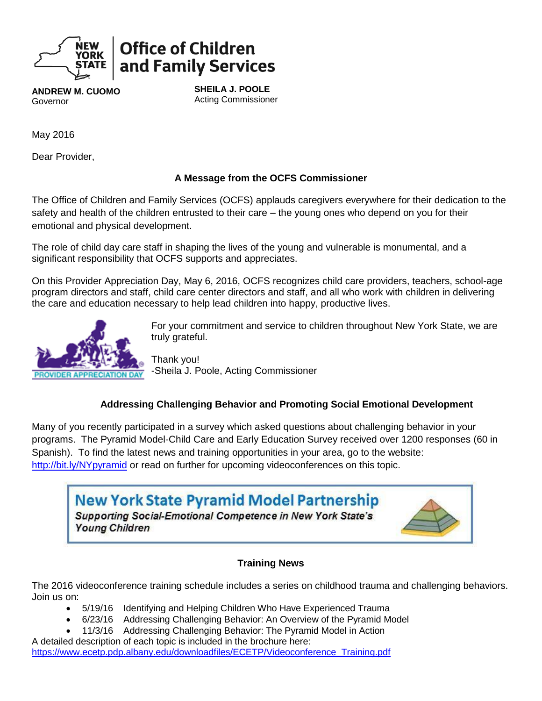

# **Office of Children** and Family Services

**ANDREW M. CUOMO** Governor

**SHEILA J. POOLE** Acting Commissioner

May 2016

Dear Provider,

# **A Message from the OCFS Commissioner**

The Office of Children and Family Services (OCFS) applauds caregivers everywhere for their dedication to the safety and health of the children entrusted to their care – the young ones who depend on you for their emotional and physical development.

The role of child day care staff in shaping the lives of the young and vulnerable is monumental, and a significant responsibility that OCFS supports and appreciates.

On this Provider Appreciation Day, May 6, 2016, OCFS recognizes child care providers, teachers, school-age program directors and staff, child care center directors and staff, and all who work with children in delivering the care and education necessary to help lead children into happy, productive lives.



For your commitment and service to children throughout New York State, we are truly grateful.

Thank you! -Sheila J. Poole, Acting Commissioner

# **Addressing Challenging Behavior and Promoting Social Emotional Development**

Many of you recently participated in a survey which asked questions about challenging behavior in your programs. The Pyramid Model-Child Care and Early Education Survey received over 1200 responses (60 in Spanish). To find the latest news and training opportunities in your area, go to the website: <http://bit.ly/NYpyramid> or read on further for upcoming videoconferences on this topic.



# **Training News**

The 2016 videoconference training schedule includes a series on childhood trauma and challenging behaviors. Join us on:

- 5/19/16 Identifying and Helping Children Who Have Experienced Trauma
- 6/23/16 Addressing Challenging Behavior: An Overview of the Pyramid Model
- 11/3/16 Addressing Challenging Behavior: The Pyramid Model in Action A detailed description of each topic is included in the brochure here: [https://www.ecetp.pdp.albany.edu/downloadfiles/ECETP/Videoconference\\_Training.pdf](https://www.ecetp.pdp.albany.edu/downloadfiles/ECETP/Videoconference_Training.pdf)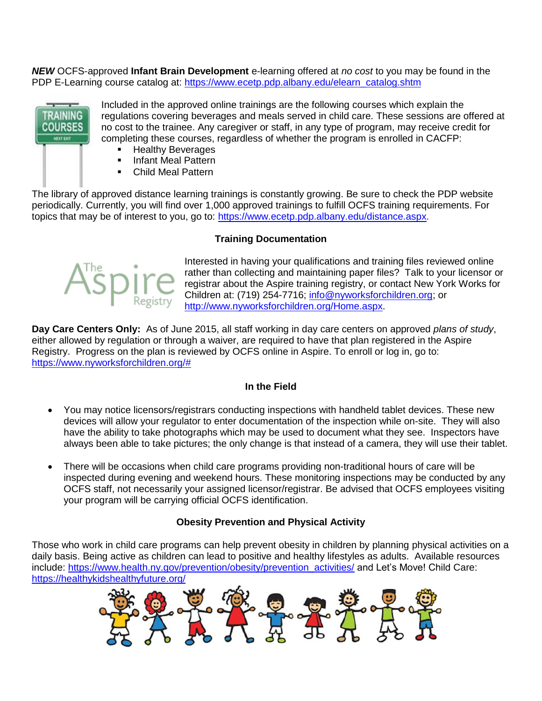*NEW* OCFS-approved **Infant Brain Development** e-learning offered at *no cost* to you may be found in the PDP E-Learning course catalog at: [https://www.ecetp.pdp.albany.edu/elearn\\_catalog.shtm](https://www.ecetp.pdp.albany.edu/elearn_catalog.shtm)



Included in the approved online trainings are the following courses which explain the regulations covering beverages and meals served in child care. These sessions are offered at no cost to the trainee. Any caregiver or staff, in any type of program, may receive credit for completing these courses, regardless of whether the program is enrolled in CACFP:

- **Healthy Beverages**
- **Infant Meal Pattern**
- Child Meal Pattern

The library of approved distance learning trainings is constantly growing. Be sure to check the PDP website periodically. Currently, you will find over 1,000 approved trainings to fulfill OCFS training requirements. For topics that may be of interest to you, go to: [https://www.ecetp.pdp.albany.edu/distance.aspx.](https://www.ecetp.pdp.albany.edu/distance.aspx)

#### **Training Documentation**



Interested in having your qualifications and training files reviewed online rather than collecting and maintaining paper files? Talk to your licensor or registrar about the Aspire training registry, or contact New York Works for Children at: (719) 254-7716; [info@nyworksforchildren.org;](mailto:info@nyworksforchildren.org) or [http://www.nyworksforchildren.org/Home.aspx.](http://www.nyworksforchildren.org/Home.aspx)

**Day Care Centers Only:** As of June 2015, all staff working in day care centers on approved *plans of study*, either allowed by regulation or through a waiver, are required to have that plan registered in the Aspire Registry. Progress on the plan is reviewed by OCFS online in Aspire. To enroll or log in, go to: [https://www.nyworksforchildren.org/#](https://www.nyworksforchildren.org/) 

#### **In the Field**

- You may notice licensors/registrars conducting inspections with handheld tablet devices. These new devices will allow your regulator to enter documentation of the inspection while on-site. They will also have the ability to take photographs which may be used to document what they see. Inspectors have always been able to take pictures; the only change is that instead of a camera, they will use their tablet.
- There will be occasions when child care programs providing non-traditional hours of care will be inspected during evening and weekend hours. These monitoring inspections may be conducted by any OCFS staff, not necessarily your assigned licensor/registrar. Be advised that OCFS employees visiting your program will be carrying official OCFS identification.

#### **Obesity Prevention and Physical Activity**

Those who work in child care programs can help prevent obesity in children by planning physical activities on a daily basis. Being active as children can lead to positive and healthy lifestyles as adults. Available resources include: [https://www.health.ny.gov/prevention/obesity/prevention\\_activities/](https://www.health.ny.gov/prevention/obesity/prevention_activities/) and Let's Move! Child Care: <https://healthykidshealthyfuture.org/>

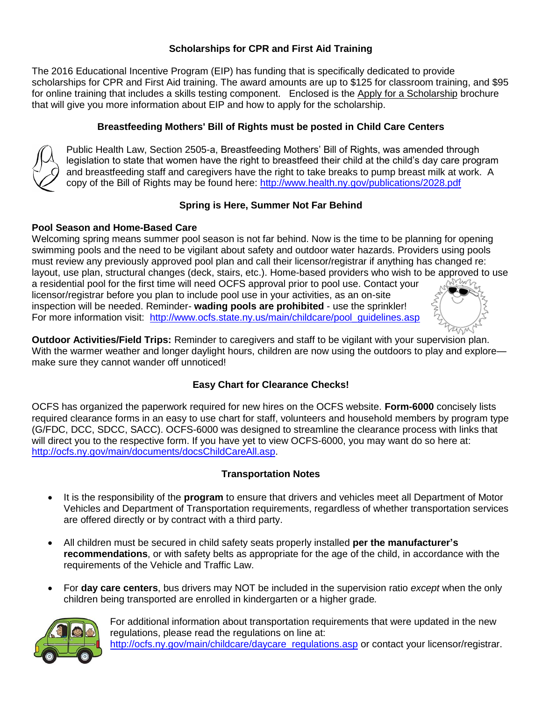# **Scholarships for CPR and First Aid Training**

The 2016 Educational Incentive Program (EIP) has funding that is specifically dedicated to provide scholarships for CPR and First Aid training. The award amounts are up to \$125 for classroom training, and \$95 for online training that includes a skills testing component. Enclosed is the Apply for a Scholarship brochure that will give you more information about EIP and how to apply for the scholarship.

# **Breastfeeding Mothers' Bill of Rights must be posted in Child Care Centers**



Public Health Law, Section 2505-a, Breastfeeding Mothers' Bill of Rights, was amended through legislation to state that women have the right to breastfeed their child at the child's day care program and breastfeeding staff and caregivers have the right to take breaks to pump breast milk at work. A copy of the Bill of Rights may be found here:<http://www.health.ny.gov/publications/2028.pdf>

# **Spring is Here, Summer Not Far Behind**

## **Pool Season and Home-Based Care**

Welcoming spring means summer pool season is not far behind. Now is the time to be planning for opening swimming pools and the need to be vigilant about safety and outdoor water hazards. Providers using pools must review any previously approved pool plan and call their licensor/registrar if anything has changed re: layout, use plan, structural changes (deck, stairs, etc.). Home-based providers who wish to be approved to use a residential pool for the first time will need OCFS approval prior to pool use. Contact your licensor/registrar before you plan to include pool use in your activities, as an on-site inspection will be needed. Reminder- **wading pools are prohibited** - use the sprinkler! For more information visit: [http://www.ocfs.state.ny.us/main/childcare/pool\\_guidelines.asp](http://www.ocfs.state.ny.us/main/childcare/pool_guidelines.asp)

**Outdoor Activities/Field Trips:** Reminder to caregivers and staff to be vigilant with your supervision plan. With the warmer weather and longer daylight hours, children are now using the outdoors to play and explore make sure they cannot wander off unnoticed!

# **Easy Chart for Clearance Checks!**

OCFS has organized the paperwork required for new hires on the OCFS website. **Form-6000** concisely lists required clearance forms in an easy to use chart for staff, volunteers and household members by program type (G/FDC, DCC, SDCC, SACC). OCFS-6000 was designed to streamline the clearance process with links that will direct you to the respective form. If you have yet to view OCFS-6000, you may want do so here at: [http://ocfs.ny.gov/main/documents/docsChildCareAll.asp.](http://ocfs.ny.gov/main/documents/docsChildCareAll.asp)

# **Transportation Notes**

- It is the responsibility of the **program** to ensure that drivers and vehicles meet all Department of Motor Vehicles and Department of Transportation requirements, regardless of whether transportation services are offered directly or by contract with a third party.
- All children must be secured in child safety seats properly installed **per the manufacturer's recommendations**, or with safety belts as appropriate for the age of the child, in accordance with the requirements of the Vehicle and Traffic Law.
- For **day care centers**, bus drivers may NOT be included in the supervision ratio *except* when the only children being transported are enrolled in kindergarten or a higher grade*.*



For additional information about transportation requirements that were updated in the new regulations, please read the regulations on line at: http://ocfs.ny.gov/main/childcare/daycare\_regulations.asp or contact your licensor/registrar.